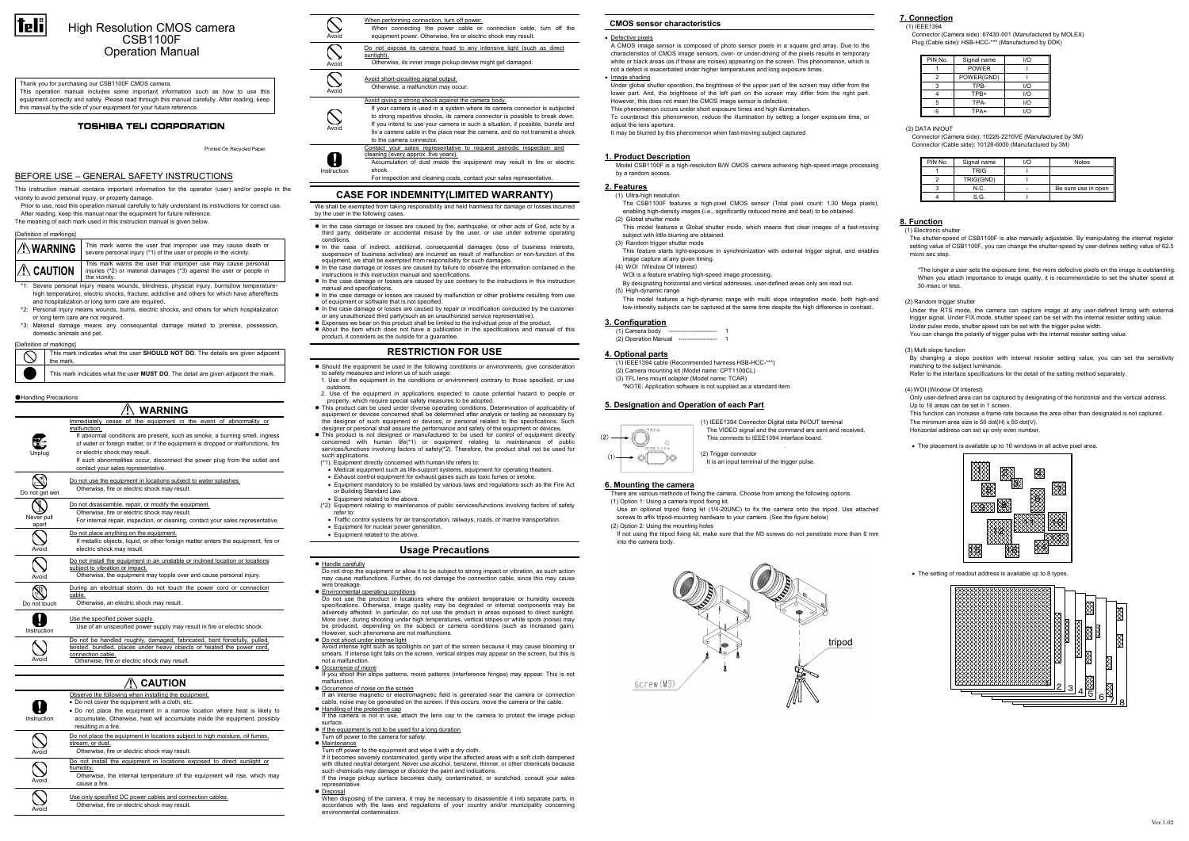

# High Resolution CMOS camera CSB1100F Operation Manual

# BEFORE USE – GENERAL SAFETY INSTRUCTIONS

 This instruction manual contains important information for the operator (user) and/or people in the vicinity to avoid personal injury, or property damage.

 Prior to use, read this operation manual carefully to fully understand its instructions for correct use. After reading, keep this manual near the equipment for future reference. The meaning of each mark used in this instruction manual is given below.

| [Definition of markings]                                                                   |                                                                                                                                                        |
|--------------------------------------------------------------------------------------------|--------------------------------------------------------------------------------------------------------------------------------------------------------|
| I A WARNING                                                                                | This mark warns the user that improper use may cause death or<br>severe personal injury (*1) of the user or people in the vicinity.                    |
| $\mathcal{N}$ caution                                                                      | This mark warns the user that improper use may cause personal<br>injuries (*2) or material damages (*3) against the user or people in<br>the vicinity. |
| *1: Severe personal injury means wounds, blindness, physical injury, burns(low temperature |                                                                                                                                                        |

 high temperature), electric shocks, fracture, addictive and others for which have aftereffects and hospitalization or long term care are required.

 \*2: Personal injury means wounds, burns, electric shocks, and others for which hospitalization or long term care are not required.

 \*3: Material damage means any consequential damage related to premise, possession, domestic animals and pet.

[Definition of markings]

| the mark.<br>This mark indicates what the user <b>MUST DO</b> . The detail are given adjacent the mark. | , behinder of manuager                                                          |
|---------------------------------------------------------------------------------------------------------|---------------------------------------------------------------------------------|
|                                                                                                         | This mark indicates what the user SHOULD NOT DO. The details are given adjacent |
|                                                                                                         |                                                                                 |
|                                                                                                         |                                                                                 |

#### ●Handling Precautions

Ø • Do not place the equipment in a narrow location where heat is likely to accumulate. Otherwise, heat will accumulate inside the equipment, possibly Instruction resulting in a fire.

#### Do not place the equipment in locations subject to high moisture, oil fumes, stream, or dust.

|                     | WARNING                                                                                                                                                                                                                                                                                                                                                                                                   |
|---------------------|-----------------------------------------------------------------------------------------------------------------------------------------------------------------------------------------------------------------------------------------------------------------------------------------------------------------------------------------------------------------------------------------------------------|
| Unplug              | Immediately cease of the equipment in the event of abnormality or<br>malfunction.<br>If abnormal conditions are present, such as smoke, a burning smell, ingress<br>of water or foreign matter, or if the equipment is dropped or malfunctions, fire<br>or electric shock may result.<br>If such abnormalities occur, disconnect the power plug from the outlet and<br>contact your sales representative. |
| Do not get wet      | Do not use the equipment in locations subject to water splashes.<br>Otherwise, fire or electric shock may result.                                                                                                                                                                                                                                                                                         |
| Never pull<br>apart | Do not disassemble, repair, or modify the equipment.<br>Otherwise, fire or electric shock may result.<br>For internal repair, inspection, or cleaning, contact your sales representative.                                                                                                                                                                                                                 |
| Avoid               | Do not place anything on the equipment.<br>If metallic objects, liquid, or other foreign matter enters the equipment, fire or<br>electric shock may result.                                                                                                                                                                                                                                               |
| Avoid               | Do not install the equipment in an unstable or inclined location or locations<br>subject to vibration or impact.<br>Otherwise, the equipment may topple over and cause personal injury.                                                                                                                                                                                                                   |
| Do not touch        | During an electrical storm, do not touch the power cord or connection<br>cable.<br>Otherwise, an electric shock may result.                                                                                                                                                                                                                                                                               |
| Instruction         | Use the specified power supply.<br>Use of an unspecified power supply may result in fire or electric shock.                                                                                                                                                                                                                                                                                               |
|                     |                                                                                                                                                                                                                                                                                                                                                                                                           |

A cleaning (every approx. five years). Accumulation of dust inside the equipment may result in fire or electric shock. Instruction

Avoid

Do not be handled roughly, damaged, fabricated, bent forcefully, pulled, twisted, bundled, places under heavy objects or heated the power cord, connection cable. Otherwise, fire or electric shock may result.

# $\Lambda$  caution

Observe the following when installing the equipment.

• Do not cover the equipment with a cloth, etc.

- Should the equipment be used in the following conditions or environments, give consideration to safety measures and inform us of such usage:
- 1. Use of the equipment in the conditions or environment contrary to those specified, or use outdoors. 2. Use of the equipment in applications expected to cause potential hazard to people or
- property, which require special safety measures to be adopted.
- This product can be used under diverse operating conditions. Determination of applicability of equipment or devices concerned shall be determined after analysis or testing as necessary by the designer of such equipment or devices, or personal related to the specifications. Such
- designer or personal shall assure the performance and safety of the equipment or devices. This product is not designed or manufactured to be used for control of equipment directly concerned with human life(\*1) or equipment relating to maintenance of public services/functions involving factors of safety(\*2). Therefore, the product shall not be used for such applications. (\*1): Equipment directly concerned with human life refers to:
- 
- Medical equipment such as life-support systems, equipment for operating theaters. • Exhaust control equipment for exhaust gases such as toxic fumes or smoke.
- Equipment mandatory to be installed by various laws and regulations such as the Fire Act or Building Standard Law
- Equipment related to the above.
- (\*2): Equipment relating to maintenance of public services/functions involving factors of safety refer to: • Traffic control systems for air transportation, railways, roads, or marine transportation.
- Equipment for nuclear power generation.
- Equipment related to the above.

Avoid

**Avoid** 

 $\overline{\bigcirc}$ 

 $\bigcirc$ 

 Otherwise, fire or electric shock may result. Do not install the equipment in locations exposed to direct sunlight or

humidity. Otherwise, the internal temperature of the equipment will rise, which may cause a fire.

Avoid

# $\sqrt{N}$

Use only specified DC power cables and connection cables. Otherwise, fire or electric shock may result.

When performing connection, turn off power. When connecting the power cable or connection cable, turn off the equipment power. Otherwise, fire or electric shock may result. Avoid  $\bigcirc$ Do not expose its camera head to any intensive light (such as direct sunlight).Avoid Otherwise, its inner image pickup devise might get damaged.

Avoid

 $\mathcal{S}% _{M_{1},M_{2}}^{\alpha,\beta}(\varepsilon)$ 

#### Avoid short-circuiting signal output.Otherwise, a malfunction may occur.

#### Avoid giving a strong shock against the camera body.



● Do not shoot under intense light<br>Avoid intense light such as spotlights on part of the screen because it may cause blooming or smears. If intense light falls on the screen, vertical stripes may appear on the screen, but this is not a malfunction.

- Occurrence of moiré<br>If you shoot thin stripe patterns, moiré patterns (interference fringes) may appear. This is not malfunction.
- $\bullet$  Occurrence of noise on the screen
- If an intense magnetic or electromagnetic field is generated near the camera or connection cable, noise may be generated on the screen. If this occurs, move the camera or the cable.
- Handling of the protective cap If the camera is not in use, attach the lens cap to the camera to protect the image pickup
- surface.
- **If the equipment is not to be used for a long duration** Turn off power to the camera for safety.
- 
- **Maintenance**<br>Turn off power to the equipment and wipe it with a dry cloth.

For inspection and cleaning costs, contact your sales representative.

# CASE FOR INDEMNITY(LIMITED WARRANTY)

We shall be exempted from taking responsibility and held harmless for damage or losses incurred by the user in the following cases.

- Disposal
- When disposing of the camera, it may be necessary to disassemble it into separate parts, in accordance with the laws and regulations of your country and/or municipality concerning environmental contamination.

 To counteract this phenomenon, reduce the illumination by setting a longer exposure time, or adjust the lens aperture

- In the case damage or losses are caused by fire, earthquake, or other acts of God, acts by a third party, deliberate or accidental misuse by the user, or use under extreme operating conditions.
- In the case of indirect, additional, consequential damages (loss of business interests, suspension of business activities) are incurred as result of malfunction or non-function of the equipment, we shall be exempted from responsibility for such damages.
- In the case damage or losses are caused by failure to observe the information contained in the instructions in this instruction manual and specifications.
- In the case damage or losses are caused by use contrary to the instructions in this instruction manual and specifications.
- In the case damage or losses are caused by malfunction or other problems resulting from use of equipment or software that is not specified. In the case damage or losses are caused by repair or modification conducted by the customer
- or any unauthorized third party(such as an unauthorized service representative). Expenses we bear on this product shall be limited to the individual price of the product.
- About the item which does not have a publication in the specifications and manual of this product, it considers as the outside for a guarantee.

# RESTRICTION FOR USE

 Only user-defined area can be captured by designating of the horizontal and the vertical address. Up to 16 areas can be set in 1 screen

### Usage Precautions

### **• Handle carefully**

 Do not drop the equipment or allow it to be subject to strong impact or vibration, as such action may cause malfunctions. Further, do not damage the connection cable, since this may cause wire breakage.

#### **Environmental operating conditions**

 Do not use the product in locations where the ambient temperature or humidity exceeds specifications. Otherwise, image quality may be degraded or internal components may be adversely affected. In particular, do not use the product in areas exposed to direct sunlight. More over, during shooting under high temperatures, vertical stripes or white spots (noise) may be produced, depending on the subject or camera conditions (such as increased gain). However, such phenomena are not malfunctions.

If it becomes severely contaminated, gently wipe the affected areas with a soft cloth dampened with diluted neutral detergent. Never use alcohol, benzene, thinner, or other chemicals because<br>such chemicals may damage or discolor the paint and indications. If the image pickup surface becomes dusty, contaminated, or scratched, consult your sales representative.

#### CMOS sensor characteristics

#### • Defective pixels

 A CMOS image sensor is composed of photo sensor pixels in a square grid array. Due to the characteristics of CMOS image sensors, over- or under-driving of the pixels results in temporary white or black areas (as if these are noises) appearing on the screen. This phenomenon, which is not a defect is exacerbated under higher temperatures and long exposure times.

• Image shading

 Under global shutter operation, the brightness of the upper part of the screen may differ from the lower part. And, the brightness of the left part on the screen may differ from the right part. However, this does not mean the CMOS image sensor is defective.

This phenomenon occurs under short exposure times and high illumination.

It may be blurred by this phenomenon when fast-moving subject captured.

#### 1. Product Description

 Model CSB1100F is a high-resolution B/W CMOS camera achieving high-speed image processing by a random access.

#### 2. Features

(1) Ultra-high resolution

- The CSB1100F features a high-pixel CMOS sensor (Total pixel count: 1.30 Mega pixels), enabling high-density images (i.e., significantly reduced moiré and beat) to be obtained.
- (2) Global shutter mode This model features a Global shutter mode, which means that clear images of a fast-moving subject with little blurring are obtained.
- 
- (3) Random trigger shutter mode This feature starts light-exposure in synchronization with external trigger signal, and enables image capture at any given timing.
- (4) WOI (Window Of Interest)
- WOI is a feature enabling high-speed image processing.
- By designating horizontal and vertical addresses, user-defined areas only are read out. (5) High-dynamic range
- This model features a high-dynamic range with multi slope integration mode, both high-and low-intensity subjects can be captured at the same time despite the high difference in contrast.

#### 3. Configuration

 (1) Camera bodyy ------------------------- 1 (2) Operation Manual ------------------- 1

### 4. Optional parts

- (1) IEEE1394 cable (Recommended harness HSB-HCC-\*\*\*)
- (2) Camera mounting kit (Model name: CPT1100CL)
- (3) TFL lens mount adapter (Model name: TCAR)

\*NOTE: Application software is not supplied as a standard item.

(2) Trigger connector

5. Designation and Operation of each Part

(1) IEEE1394 Connector Digital data IN/OUT terminal The VIDEO signal and the command are sent and received.

This connects to IEEE1394 interface board.

It is an input terminal of the trigger pulse.

6. Mounting the camera

There are various methods of fixing the camera. Choose from among the following options.

(1) Option 1: Using a camera tripod fixing kit.

hm

Use an optional tripod fixing kit (1/4-20UNC) to fix the camera onto the tripod. Use attached

screws to affix tripod-mounting hardware to your camera. (See the figure below)

(2) Option 2: Using the mounting holes

If not using the tripod fixing kit, make sure that the M3 screws do not penetrate more than 6 mm

tripod

into the camera body.

screw(M3)

#### 7. Connection(1) IEEE1394

 Connector (Camera side): 67430-001 (Manufactured by MOLEX) Plug (Cable side): HSB-HCC-\*\*\* (Manufactured by DDK)

| PIN No. | Signal name  | 1/O        |
|---------|--------------|------------|
|         | <b>POWER</b> |            |
|         | POWER(GND)   |            |
| 3       | TPB-         | 1/O        |
|         | TPB+         | 1/O        |
| 5       | TPA-         | 1/O        |
|         | TPA+         | $1/\Omega$ |

(2) DATA IN/OUT

 Connector (Camera side): 10226-2210VE (Manufactured by 3M) Connector (Cable side): 10126-6000 (Manufactured by 3M)

| PIN No. | Signal name | $\overline{O}$ | <b>Notes</b>        |
|---------|-------------|----------------|---------------------|
|         | <b>TRIG</b> |                |                     |
|         | TRIG(GND)   |                |                     |
|         | N.C.        |                | Be sure use in open |
|         | S.G.        |                |                     |

# 8. Function

(1) Electronic shutter

 The shutter-speed of CSB1100F is also manually adjustable. By manipulating the internal register setting value of CSB1100F, you can change the shutter-speed by user-defines setting value of 62.5 micro sec step.

\*The longer a user sets the exposure time, the more defective pixels on the image is outstanding. When you attach importance to image quality, it is recommendable to set the shutter speed at 30 msec or less.

#### (2) Random trigger shutter

 Under the RTS mode, the camera can capture image at any user-defined timing with external trigger signal. Under FIX mode, shutter speed can be set with the internal resister setting value. Under pulse mode, shutter speed can be set with the trigger pulse width. You can change the polarity of trigger pulse with the internal resister setting value.

#### (3) Multi slope function

 By changing a slope position with internal resister setting value, you can set the sensitivity matching to the subject luminance.

Refer to the interface specifications for the detail of the setting method separately.

#### (4) WOI (Window Of Interest)

 This function can increase a frame rate because the area other than designated is not captured. The minimum area size is 50 dot(H) x 50 dot(V).

Horizontal address can set up only even number.

• The placement is available up to 16 windows in all active pixel area.

Thank you for purchasing our CSB1100F CMOS camera. This operation manual includes some important information such as how to use this

equipment correctly and safely. Please read through this manual carefully. After reading, keep this manual by the side of your equipment for your future reference.

# **TOSHIBA TELI CORPORATION**

Printed On Recycled Paper.



• The setting of readout address is available up to 8 types.